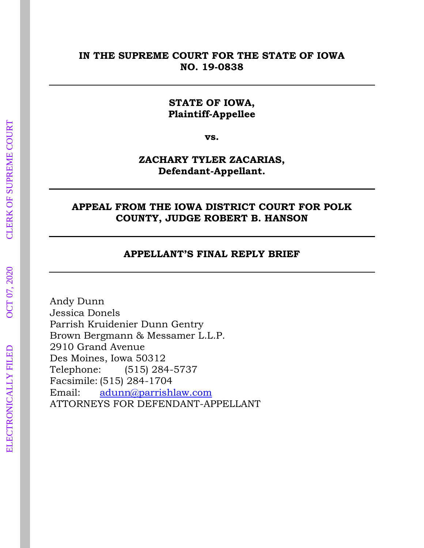#### **IN THE SUPREME COURT FOR THE STATE OF IOWA NO. 19-0838**

#### **STATE OF IOWA, Plaintiff-Appellee**

**vs.**

#### **ZACHARY TYLER ZACARIAS, Defendant-Appellant.**

#### **APPEAL FROM THE IOWA DISTRICT COURT FOR POLK COUNTY, JUDGE ROBERT B. HANSON**

#### **APPELLANT'S FINAL REPLY BRIEF**

Andy Dunn Jessica Donels Parrish Kruidenier Dunn Gentry Brown Bergmann & Messamer L.L.P. 2910 Grand Avenue Des Moines, Iowa 50312 Telephone: (515) 284-5737 Facsimile: (515) 284-1704 Email: [adunn@parrishlaw.com](mailto:adunn@parrishlaw.com) ATTORNEYS FOR DEFENDANT-APPELLANT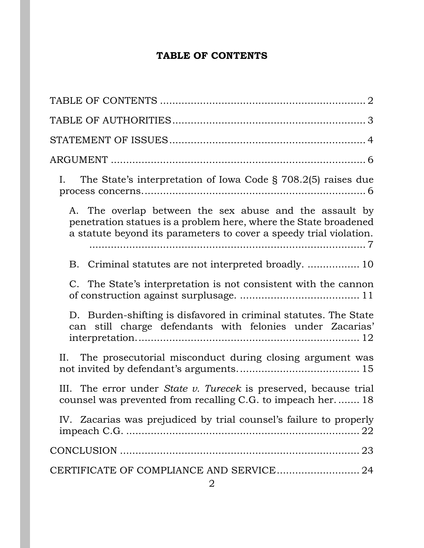# **TABLE OF CONTENTS**

<span id="page-1-0"></span>

| The State's interpretation of Iowa Code § 708.2(5) raises due<br>Ι.                                                                                                                               |
|---------------------------------------------------------------------------------------------------------------------------------------------------------------------------------------------------|
| A. The overlap between the sex abuse and the assault by<br>penetration statues is a problem here, where the State broadened<br>a statute beyond its parameters to cover a speedy trial violation. |
|                                                                                                                                                                                                   |
| C. The State's interpretation is not consistent with the cannon                                                                                                                                   |
| D. Burden-shifting is disfavored in criminal statutes. The State<br>can still charge defendants with felonies under Zacarias'                                                                     |
| The prosecutorial misconduct during closing argument was<br>II.                                                                                                                                   |
| III. The error under State v. Turecek is preserved, because trial<br>counsel was prevented from recalling C.G. to impeach her 18                                                                  |
| IV. Zacarias was prejudiced by trial counsel's failure to properly                                                                                                                                |
|                                                                                                                                                                                                   |
|                                                                                                                                                                                                   |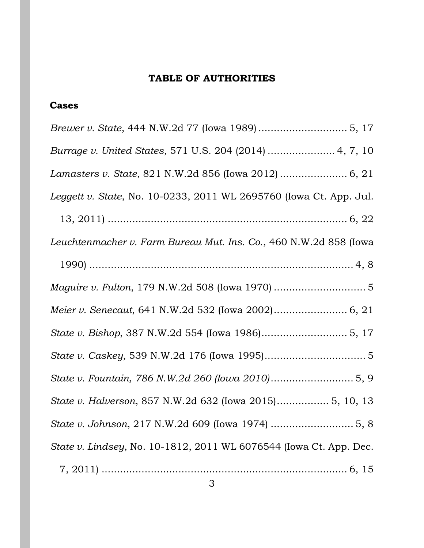# **TABLE OF AUTHORITIES**

# <span id="page-2-0"></span>**Cases**

| Burrage v. United States, 571 U.S. 204 (2014)  4, 7, 10            |
|--------------------------------------------------------------------|
|                                                                    |
| Leggett v. State, No. 10-0233, 2011 WL 2695760 (Iowa Ct. App. Jul. |
|                                                                    |
| Leuchtenmacher v. Farm Bureau Mut. Ins. Co., 460 N.W.2d 858 (Iowa  |
|                                                                    |
|                                                                    |
|                                                                    |
|                                                                    |
|                                                                    |
|                                                                    |
| State v. Halverson, 857 N.W.2d 632 (Iowa 2015) 5, 10, 13           |
|                                                                    |
| State v. Lindsey, No. 10-1812, 2011 WL 6076544 (Iowa Ct. App. Dec. |
|                                                                    |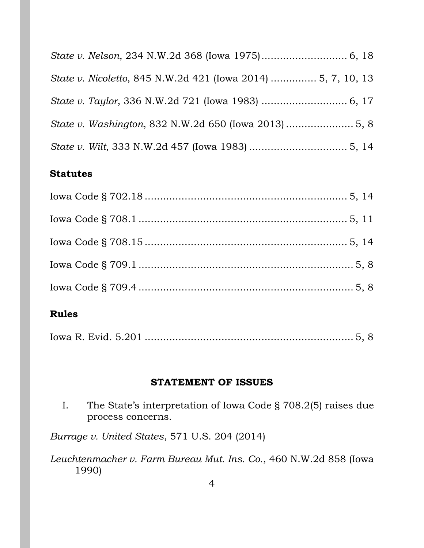| State v. Nicoletto, 845 N.W.2d 421 (Iowa 2014)  5, 7, 10, 13 |  |
|--------------------------------------------------------------|--|
|                                                              |  |
|                                                              |  |
|                                                              |  |

## **Statutes**

# **Rules**

|--|--|--|

### **STATEMENT OF ISSUES**

<span id="page-3-0"></span>I. The State's interpretation of Iowa Code § 708.2(5) raises due process concerns.

*Burrage v. United States*, 571 U.S. 204 (2014)

*Leuchtenmacher v. Farm Bureau Mut. Ins. Co.*, 460 N.W.2d 858 (Iowa 1990)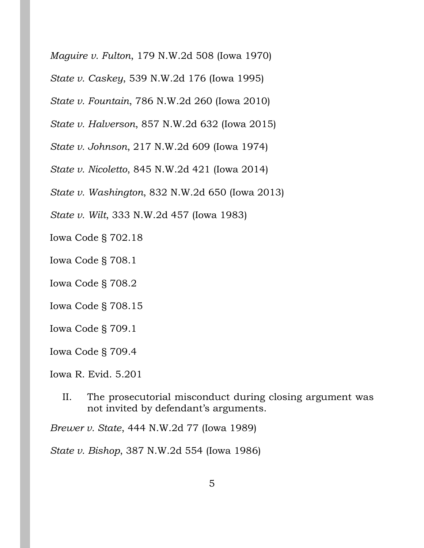*Maguire v. Fulton*, 179 N.W.2d 508 (Iowa 1970)

*State v. Caskey*, 539 N.W.2d 176 (Iowa 1995)

*State v. Fountain*, 786 N.W.2d 260 (Iowa 2010)

*State v. Halverson*, 857 N.W.2d 632 (Iowa 2015)

*State v. Johnson*, 217 N.W.2d 609 (Iowa 1974)

*State v. Nicoletto*, 845 N.W.2d 421 (Iowa 2014)

*State v. Washington*, 832 N.W.2d 650 (Iowa 2013)

*State v. Wilt*, 333 N.W.2d 457 (Iowa 1983)

Iowa Code § 702.18

Iowa Code § 708.1

Iowa Code § 708.2

Iowa Code § 708.15

Iowa Code § 709.1

Iowa Code § 709.4

Iowa R. Evid. 5.201

II. The prosecutorial misconduct during closing argument was not invited by defendant's arguments.

*Brewer v. State*, 444 N.W.2d 77 (Iowa 1989)

*State v. Bishop*, 387 N.W.2d 554 (Iowa 1986)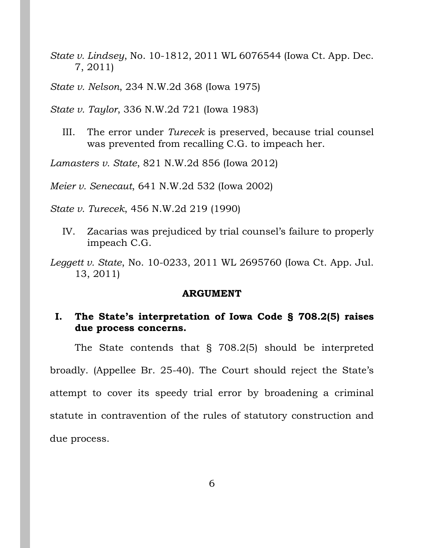*State v. Lindsey*, No. 10-1812, 2011 WL 6076544 (Iowa Ct. App. Dec. 7, 2011)

*State v. Nelson*, 234 N.W.2d 368 (Iowa 1975)

*State v. Taylor*, 336 N.W.2d 721 (Iowa 1983)

III. The error under *Turecek* is preserved, because trial counsel was prevented from recalling C.G. to impeach her.

*Lamasters v. State*, 821 N.W.2d 856 (Iowa 2012)

*Meier v. Senecaut*, 641 N.W.2d 532 (Iowa 2002)

*State v. Turecek*, 456 N.W.2d 219 (1990)

- IV. Zacarias was prejudiced by trial counsel's failure to properly impeach C.G.
- *Leggett v. State*, No. 10-0233, 2011 WL 2695760 (Iowa Ct. App. Jul. 13, 2011)

#### **ARGUMENT**

### <span id="page-5-1"></span><span id="page-5-0"></span>**I. The State's interpretation of Iowa Code § 708.2(5) raises due process concerns.**

The State contends that § 708.2(5) should be interpreted broadly. (Appellee Br. 25-40). The Court should reject the State's attempt to cover its speedy trial error by broadening a criminal statute in contravention of the rules of statutory construction and due process.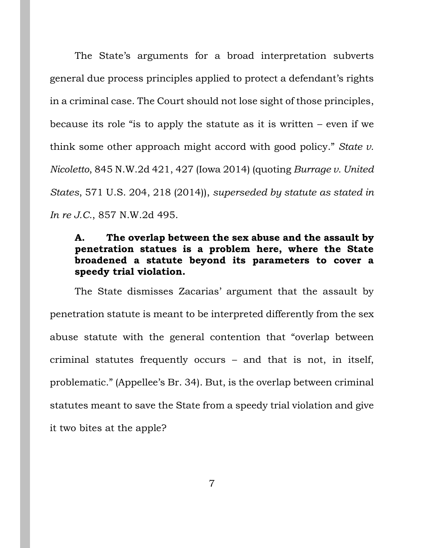The State's arguments for a broad interpretation subverts general due process principles applied to protect a defendant's rights in a criminal case. The Court should not lose sight of those principles, because its role "is to apply the statute as it is written  $-$  even if we think some other approach might accord with good policy." *State v. Nicoletto*, 845 N.W.2d 421, 427 (Iowa 2014) (quoting *Burrage v. United States*, 571 U.S. 204, 218 (2014)), *superseded by statute as stated in In re J.C.*, 857 N.W.2d 495.

# <span id="page-6-0"></span>**A. The overlap between the sex abuse and the assault by penetration statues is a problem here, where the State broadened a statute beyond its parameters to cover a speedy trial violation.**

The State dismisses Zacarias' argument that the assault by penetration statute is meant to be interpreted differently from the sex abuse statute with the general contention that "overlap between criminal statutes frequently occurs – and that is not, in itself, problematic." (Appellee's Br. 34). But, is the overlap between criminal statutes meant to save the State from a speedy trial violation and give it two bites at the apple?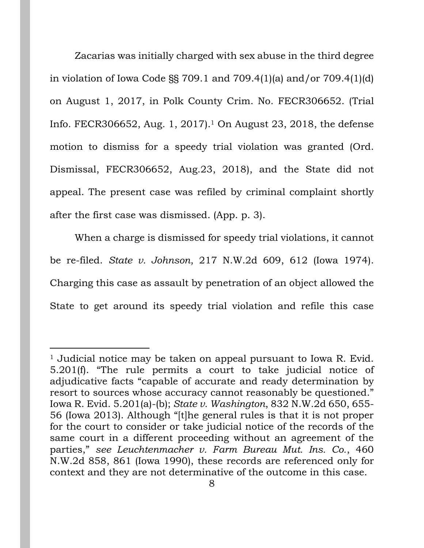Zacarias was initially charged with sex abuse in the third degree in violation of Iowa Code §§ 709.1 and 709.4(1)(a) and/or 709.4(1)(d) on August 1, 2017, in Polk County Crim. No. FECR306652. (Trial Info. FECR306652, Aug. 1, 2017).<sup>1</sup> On August 23, 2018, the defense motion to dismiss for a speedy trial violation was granted (Ord. Dismissal, FECR306652, Aug.23, 2018), and the State did not appeal. The present case was refiled by criminal complaint shortly after the first case was dismissed. (App. p. 3).

When a charge is dismissed for speedy trial violations, it cannot be re-filed. *State v. Johnson*, 217 N.W.2d 609, 612 (Iowa 1974). Charging this case as assault by penetration of an object allowed the State to get around its speedy trial violation and refile this case

<sup>&</sup>lt;sup>1</sup> Judicial notice may be taken on appeal pursuant to Iowa R. Evid. 5.201(f). "The rule permits a court to take judicial notice of adjudicative facts "capable of accurate and ready determination by resort to sources whose accuracy cannot reasonably be questioned." Iowa R. Evid. 5.201(a)-(b); *State v. Washington*, 832 N.W.2d 650, 655- 56 (Iowa 2013). Although "[t]he general rules is that it is not proper for the court to consider or take judicial notice of the records of the same court in a different proceeding without an agreement of the parties," *see Leuchtenmacher v. Farm Bureau Mut. Ins. Co.*, 460 N.W.2d 858, 861 (Iowa 1990), these records are referenced only for context and they are not determinative of the outcome in this case.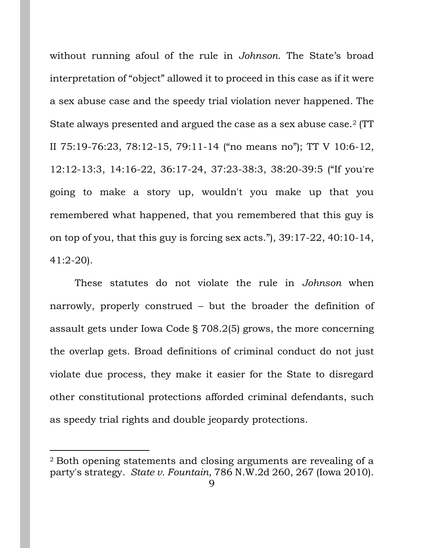without running afoul of the rule in *Johnson*. The State's broad interpretation of "object" allowed it to proceed in this case as if it were a sex abuse case and the speedy trial violation never happened. The State always presented and argued the case as a sex abuse case.<sup>2</sup> (TT II 75:19-76:23, 78:12-15, 79:11-14 ("no means no"); TT V 10:6-12, 12:12-13:3, 14:16-22, 36:17-24, 37:23-38:3, 38:20-39:5 ("If you're going to make a story up, wouldn't you make up that you remembered what happened, that you remembered that this guy is on top of you, that this guy is forcing sex acts."), 39:17-22, 40:10-14, 41:2-20).

These statutes do not violate the rule in *Johnson* when narrowly, properly construed – but the broader the definition of assault gets under Iowa Code § 708.2(5) grows, the more concerning the overlap gets. Broad definitions of criminal conduct do not just violate due process, they make it easier for the State to disregard other constitutional protections afforded criminal defendants, such as speedy trial rights and double jeopardy protections.

<sup>2</sup> Both opening statements and closing arguments are revealing of a party's strategy. *State v. Fountain*, 786 N.W.2d 260, 267 (Iowa 2010).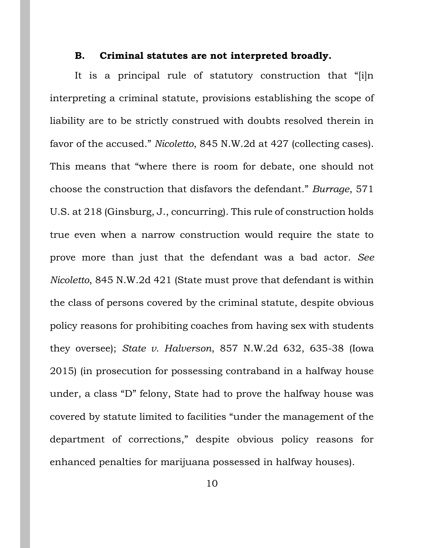#### **B. Criminal statutes are not interpreted broadly.**

<span id="page-9-0"></span>It is a principal rule of statutory construction that "[i]n interpreting a criminal statute, provisions establishing the scope of liability are to be strictly construed with doubts resolved therein in favor of the accused." *Nicoletto*, 845 N.W.2d at 427 (collecting cases). This means that "where there is room for debate, one should not choose the construction that disfavors the defendant." *Burrage*, 571 U.S. at 218 (Ginsburg, J., concurring). This rule of construction holds true even when a narrow construction would require the state to prove more than just that the defendant was a bad actor. *See Nicoletto*, 845 N.W.2d 421 (State must prove that defendant is within the class of persons covered by the criminal statute, despite obvious policy reasons for prohibiting coaches from having sex with students they oversee); *State v. Halverson*, 857 N.W.2d 632, 635-38 (Iowa 2015) (in prosecution for possessing contraband in a halfway house under, a class "D" felony, State had to prove the halfway house was covered by statute limited to facilities "under the management of the department of corrections," despite obvious policy reasons for enhanced penalties for marijuana possessed in halfway houses).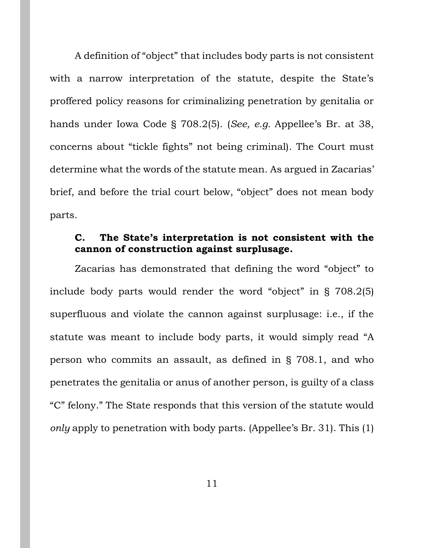A definition of "object" that includes body parts is not consistent with a narrow interpretation of the statute, despite the State's proffered policy reasons for criminalizing penetration by genitalia or hands under Iowa Code § 708.2(5). (*See, e.g.* Appellee's Br. at 38, concerns about "tickle fights" not being criminal). The Court must determine what the words of the statute mean. As argued in Zacarias' brief, and before the trial court below, "object" does not mean body parts.

## <span id="page-10-0"></span>**C. The State's interpretation is not consistent with the cannon of construction against surplusage.**

Zacarias has demonstrated that defining the word "object" to include body parts would render the word "object" in § 708.2(5) superfluous and violate the cannon against surplusage: i.e., if the statute was meant to include body parts, it would simply read "A person who commits an assault, as defined in § 708.1, and who penetrates the genitalia or anus of another person, is guilty of a class "C" felony." The State responds that this version of the statute would *only* apply to penetration with body parts. (Appellee's Br. 31). This (1)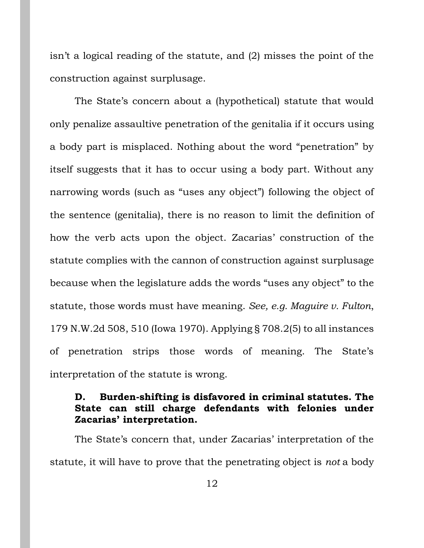isn't a logical reading of the statute, and (2) misses the point of the construction against surplusage.

The State's concern about a (hypothetical) statute that would only penalize assaultive penetration of the genitalia if it occurs using a body part is misplaced. Nothing about the word "penetration" by itself suggests that it has to occur using a body part. Without any narrowing words (such as "uses any object") following the object of the sentence (genitalia), there is no reason to limit the definition of how the verb acts upon the object. Zacarias' construction of the statute complies with the cannon of construction against surplusage because when the legislature adds the words "uses any object" to the statute, those words must have meaning. *See, e.g. Maguire v. Fulton*, 179 N.W.2d 508, 510 (Iowa 1970). Applying § 708.2(5) to all instances of penetration strips those words of meaning. The State's interpretation of the statute is wrong.

### <span id="page-11-0"></span>**D. Burden-shifting is disfavored in criminal statutes. The State can still charge defendants with felonies under Zacarias' interpretation.**

The State's concern that, under Zacarias' interpretation of the statute, it will have to prove that the penetrating object is *not* a body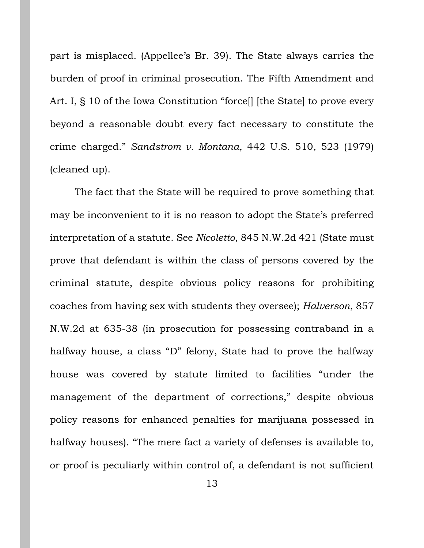part is misplaced. (Appellee's Br. 39). The State always carries the burden of proof in criminal prosecution. The Fifth Amendment and Art. I, § 10 of the Iowa Constitution "force. I [the State] to prove every beyond a reasonable doubt every fact necessary to constitute the crime charged." *Sandstrom v. Montana*, 442 U.S. 510, 523 (1979) (cleaned up).

The fact that the State will be required to prove something that may be inconvenient to it is no reason to adopt the State's preferred interpretation of a statute. See *Nicoletto*, 845 N.W.2d 421 (State must prove that defendant is within the class of persons covered by the criminal statute, despite obvious policy reasons for prohibiting coaches from having sex with students they oversee); *Halverson*, 857 N.W.2d at 635-38 (in prosecution for possessing contraband in a halfway house, a class "D" felony, State had to prove the halfway house was covered by statute limited to facilities "under the management of the department of corrections," despite obvious policy reasons for enhanced penalties for marijuana possessed in halfway houses). "The mere fact a variety of defenses is available to, or proof is peculiarly within control of, a defendant is not sufficient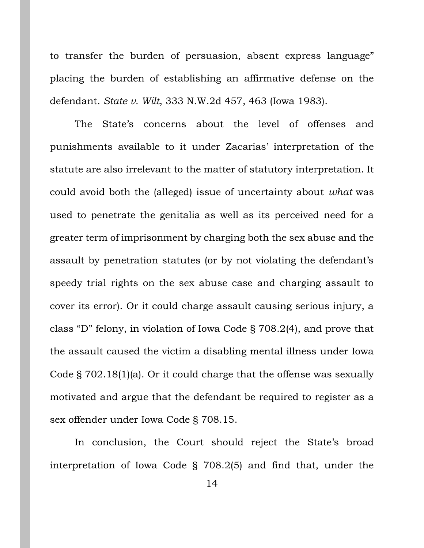to transfer the burden of persuasion, absent express language" placing the burden of establishing an affirmative defense on the defendant. *State v. Wilt*, 333 N.W.2d 457, 463 (Iowa 1983).

The State's concerns about the level of offenses and punishments available to it under Zacarias' interpretation of the statute are also irrelevant to the matter of statutory interpretation. It could avoid both the (alleged) issue of uncertainty about *what* was used to penetrate the genitalia as well as its perceived need for a greater term of imprisonment by charging both the sex abuse and the assault by penetration statutes (or by not violating the defendant's speedy trial rights on the sex abuse case and charging assault to cover its error). Or it could charge assault causing serious injury, a class "D" felony, in violation of Iowa Code § 708.2(4), and prove that the assault caused the victim a disabling mental illness under Iowa Code § 702.18(1)(a). Or it could charge that the offense was sexually motivated and argue that the defendant be required to register as a sex offender under Iowa Code § 708.15.

In conclusion, the Court should reject the State's broad interpretation of Iowa Code § 708.2(5) and find that, under the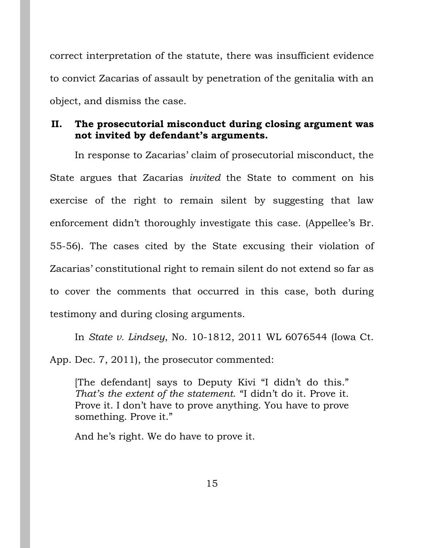correct interpretation of the statute, there was insufficient evidence to convict Zacarias of assault by penetration of the genitalia with an object, and dismiss the case.

# <span id="page-14-0"></span>**II. The prosecutorial misconduct during closing argument was not invited by defendant's arguments.**

In response to Zacarias' claim of prosecutorial misconduct, the State argues that Zacarias *invited* the State to comment on his exercise of the right to remain silent by suggesting that law enforcement didn't thoroughly investigate this case. (Appellee's Br. 55-56). The cases cited by the State excusing their violation of Zacarias' constitutional right to remain silent do not extend so far as to cover the comments that occurred in this case, both during testimony and during closing arguments.

In *State v. Lindsey*, No. 10-1812, 2011 WL 6076544 (Iowa Ct. App. Dec. 7, 2011), the prosecutor commented:

[The defendant] says to Deputy Kivi "I didn't do this." *That's the extent of the statement*. "I didn't do it. Prove it. Prove it. I don't have to prove anything. You have to prove something. Prove it."

And he's right. We do have to prove it.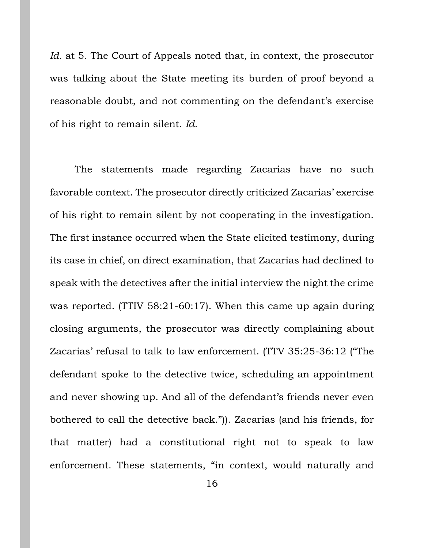*Id.* at 5. The Court of Appeals noted that, in context, the prosecutor was talking about the State meeting its burden of proof beyond a reasonable doubt, and not commenting on the defendant's exercise of his right to remain silent. *Id.* 

The statements made regarding Zacarias have no such favorable context. The prosecutor directly criticized Zacarias' exercise of his right to remain silent by not cooperating in the investigation. The first instance occurred when the State elicited testimony, during its case in chief, on direct examination, that Zacarias had declined to speak with the detectives after the initial interview the night the crime was reported. (TTIV 58:21-60:17). When this came up again during closing arguments, the prosecutor was directly complaining about Zacarias' refusal to talk to law enforcement. (TTV 35:25-36:12 ("The defendant spoke to the detective twice, scheduling an appointment and never showing up. And all of the defendant's friends never even bothered to call the detective back.")). Zacarias (and his friends, for that matter) had a constitutional right not to speak to law enforcement. These statements, "in context, would naturally and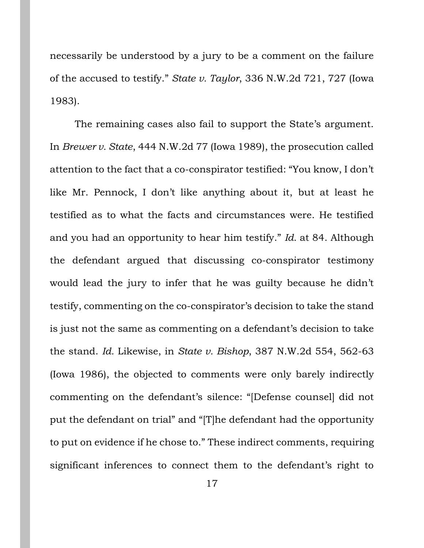necessarily be understood by a jury to be a comment on the failure of the accused to testify." *State v. Taylor*, 336 N.W.2d 721, 727 (Iowa 1983).

The remaining cases also fail to support the State's argument. In *Brewer v. State*, 444 N.W.2d 77 (Iowa 1989), the prosecution called attention to the fact that a co-conspirator testified: "You know, I don't like Mr. Pennock, I don't like anything about it, but at least he testified as to what the facts and circumstances were. He testified and you had an opportunity to hear him testify." *Id.* at 84. Although the defendant argued that discussing co-conspirator testimony would lead the jury to infer that he was guilty because he didn't testify, commenting on the co-conspirator's decision to take the stand is just not the same as commenting on a defendant's decision to take the stand. *Id.* Likewise, in *State v. Bishop*, 387 N.W.2d 554, 562-63 (Iowa 1986), the objected to comments were only barely indirectly commenting on the defendant's silence: "[Defense counsel] did not put the defendant on trial" and "[T]he defendant had the opportunity to put on evidence if he chose to." These indirect comments, requiring significant inferences to connect them to the defendant's right to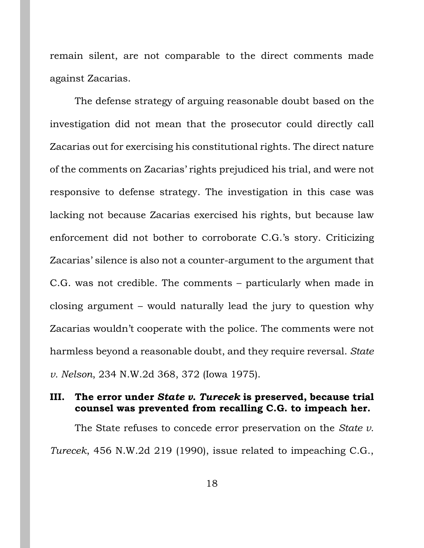remain silent, are not comparable to the direct comments made against Zacarias.

The defense strategy of arguing reasonable doubt based on the investigation did not mean that the prosecutor could directly call Zacarias out for exercising his constitutional rights. The direct nature of the comments on Zacarias' rights prejudiced his trial, and were not responsive to defense strategy. The investigation in this case was lacking not because Zacarias exercised his rights, but because law enforcement did not bother to corroborate C.G.'s story. Criticizing Zacarias' silence is also not a counter-argument to the argument that C.G. was not credible. The comments – particularly when made in closing argument – would naturally lead the jury to question why Zacarias wouldn't cooperate with the police. The comments were not harmless beyond a reasonable doubt, and they require reversal. *State v. Nelson*, 234 N.W.2d 368, 372 (Iowa 1975).

## <span id="page-17-0"></span>**III. The error under** *State v. Turecek* **is preserved, because trial counsel was prevented from recalling C.G. to impeach her.**

The State refuses to concede error preservation on the *State v. Turecek*, 456 N.W.2d 219 (1990), issue related to impeaching C.G.,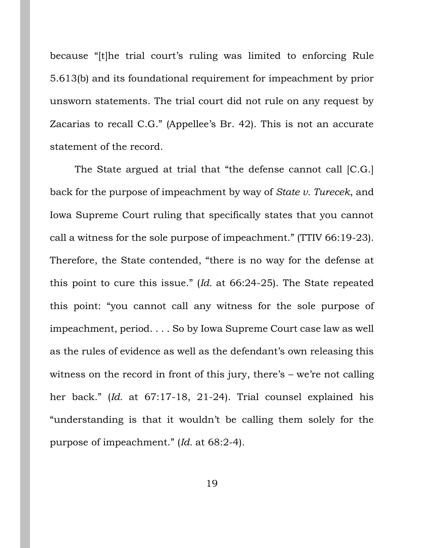because "[t]he trial court's ruling was limited to enforcing Rule 5.613(b) and its foundational requirement for impeachment by prior unsworn statements. The trial court did not rule on any request by Zacarias to recall C.G." (Appellee's Br. 42). This is not an accurate statement of the record.

The State argued at trial that "the defense cannot call [C.G.] back for the purpose of impeachment by way of *State v. Turecek*, and Iowa Supreme Court ruling that specifically states that you cannot call a witness for the sole purpose of impeachment." (TTIV 66:19-23). Therefore, the State contended, "there is no way for the defense at this point to cure this issue." (*Id.* at 66:24-25). The State repeated this point: "you cannot call any witness for the sole purpose of impeachment, period. . . . So by Iowa Supreme Court case law as well as the rules of evidence as well as the defendant's own releasing this witness on the record in front of this jury, there's – we're not calling her back." (*Id.* at 67:17-18, 21-24). Trial counsel explained his "understanding is that it wouldn't be calling them solely for the purpose of impeachment." (*Id.* at 68:2-4).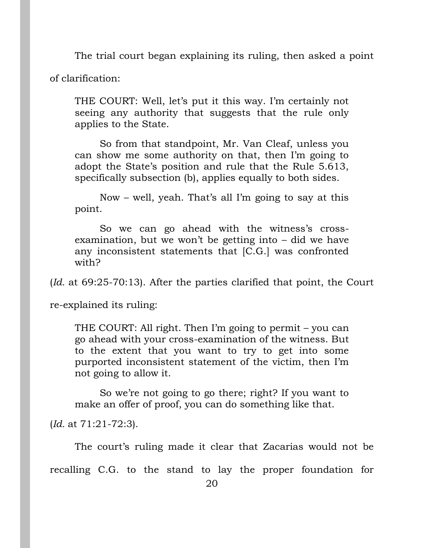The trial court began explaining its ruling, then asked a point

of clarification:

THE COURT: Well, let's put it this way. I'm certainly not seeing any authority that suggests that the rule only applies to the State.

So from that standpoint, Mr. Van Cleaf, unless you can show me some authority on that, then I'm going to adopt the State's position and rule that the Rule 5.613, specifically subsection (b), applies equally to both sides.

Now – well, yeah. That's all I'm going to say at this point.

So we can go ahead with the witness's crossexamination, but we won't be getting into – did we have any inconsistent statements that [C.G.] was confronted with?

(*Id.* at 69:25-70:13). After the parties clarified that point, the Court

re-explained its ruling:

THE COURT: All right. Then I'm going to permit – you can go ahead with your cross-examination of the witness. But to the extent that you want to try to get into some purported inconsistent statement of the victim, then I'm not going to allow it.

So we're not going to go there; right? If you want to make an offer of proof, you can do something like that.

(*Id.* at 71:21-72:3).

The court's ruling made it clear that Zacarias would not be

recalling C.G. to the stand to lay the proper foundation for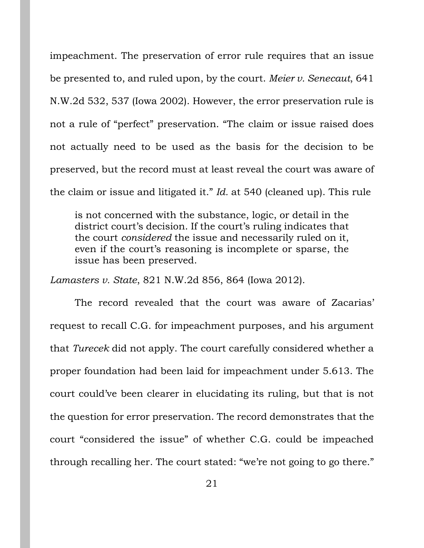impeachment. The preservation of error rule requires that an issue be presented to, and ruled upon, by the court. *Meier v. Senecaut*, 641 N.W.2d 532, 537 (Iowa 2002). However, the error preservation rule is not a rule of "perfect" preservation. "The claim or issue raised does not actually need to be used as the basis for the decision to be preserved, but the record must at least reveal the court was aware of the claim or issue and litigated it." *Id.* at 540 (cleaned up). This rule

is not concerned with the substance, logic, or detail in the district court's decision. If the court's ruling indicates that the court *considered* the issue and necessarily ruled on it, even if the court's reasoning is incomplete or sparse, the issue has been preserved.

*Lamasters v. State*, 821 N.W.2d 856, 864 (Iowa 2012).

The record revealed that the court was aware of Zacarias' request to recall C.G. for impeachment purposes, and his argument that *Turecek* did not apply. The court carefully considered whether a proper foundation had been laid for impeachment under 5.613. The court could've been clearer in elucidating its ruling, but that is not the question for error preservation. The record demonstrates that the court "considered the issue" of whether C.G. could be impeached through recalling her. The court stated: "we're not going to go there."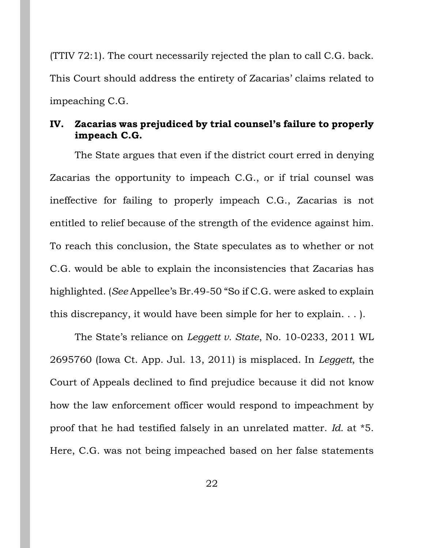(TTIV 72:1). The court necessarily rejected the plan to call C.G. back. This Court should address the entirety of Zacarias' claims related to impeaching C.G.

### <span id="page-21-0"></span>**IV. Zacarias was prejudiced by trial counsel's failure to properly impeach C.G.**

The State argues that even if the district court erred in denying Zacarias the opportunity to impeach C.G., or if trial counsel was ineffective for failing to properly impeach C.G., Zacarias is not entitled to relief because of the strength of the evidence against him. To reach this conclusion, the State speculates as to whether or not C.G. would be able to explain the inconsistencies that Zacarias has highlighted. (*See* Appellee's Br.49-50 "So if C.G. were asked to explain this discrepancy, it would have been simple for her to explain. . . ).

The State's reliance on *Leggett v. State*, No. 10-0233, 2011 WL 2695760 (Iowa Ct. App. Jul. 13, 2011) is misplaced. In *Leggett*, the Court of Appeals declined to find prejudice because it did not know how the law enforcement officer would respond to impeachment by proof that he had testified falsely in an unrelated matter. *Id.* at \*5. Here, C.G. was not being impeached based on her false statements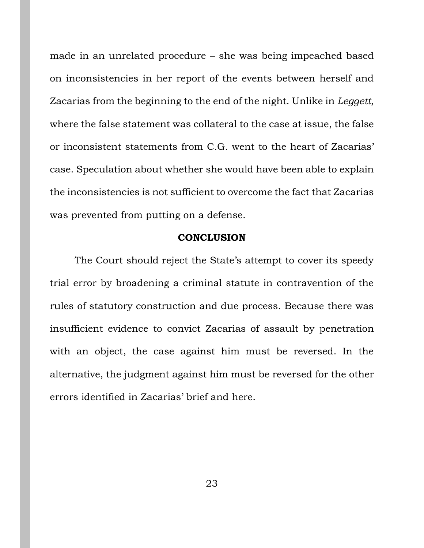made in an unrelated procedure – she was being impeached based on inconsistencies in her report of the events between herself and Zacarias from the beginning to the end of the night. Unlike in *Leggett*, where the false statement was collateral to the case at issue, the false or inconsistent statements from C.G. went to the heart of Zacarias' case. Speculation about whether she would have been able to explain the inconsistencies is not sufficient to overcome the fact that Zacarias was prevented from putting on a defense.

#### **CONCLUSION**

<span id="page-22-0"></span>The Court should reject the State's attempt to cover its speedy trial error by broadening a criminal statute in contravention of the rules of statutory construction and due process. Because there was insufficient evidence to convict Zacarias of assault by penetration with an object, the case against him must be reversed. In the alternative, the judgment against him must be reversed for the other errors identified in Zacarias' brief and here.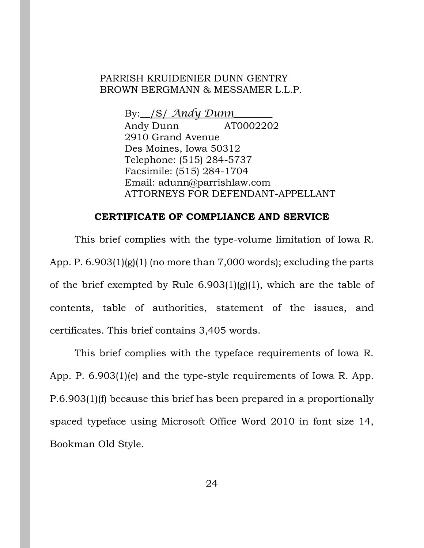#### PARRISH KRUIDENIER DUNN GENTRY BROWN BERGMANN & MESSAMER L.L.P.

By:\_\_/S/ *Andy Dunn*\_\_\_\_\_\_\_\_

Andy Dunn AT0002202 2910 Grand Avenue Des Moines, Iowa 50312 Telephone: (515) 284-5737 Facsimile: (515) 284-1704 Email: adunn@parrishlaw.com ATTORNEYS FOR DEFENDANT-APPELLANT

#### **CERTIFICATE OF COMPLIANCE AND SERVICE**

<span id="page-23-0"></span>This brief complies with the type-volume limitation of Iowa R. App. P.  $6.903(1)(g)(1)$  (no more than 7,000 words); excluding the parts of the brief exempted by Rule  $6.903(1)(g)(1)$ , which are the table of contents, table of authorities, statement of the issues, and certificates. This brief contains 3,405 words.

This brief complies with the typeface requirements of Iowa R. App. P. 6.903(1)(e) and the type-style requirements of Iowa R. App. P.6.903(1)(f) because this brief has been prepared in a proportionally spaced typeface using Microsoft Office Word 2010 in font size 14, Bookman Old Style.